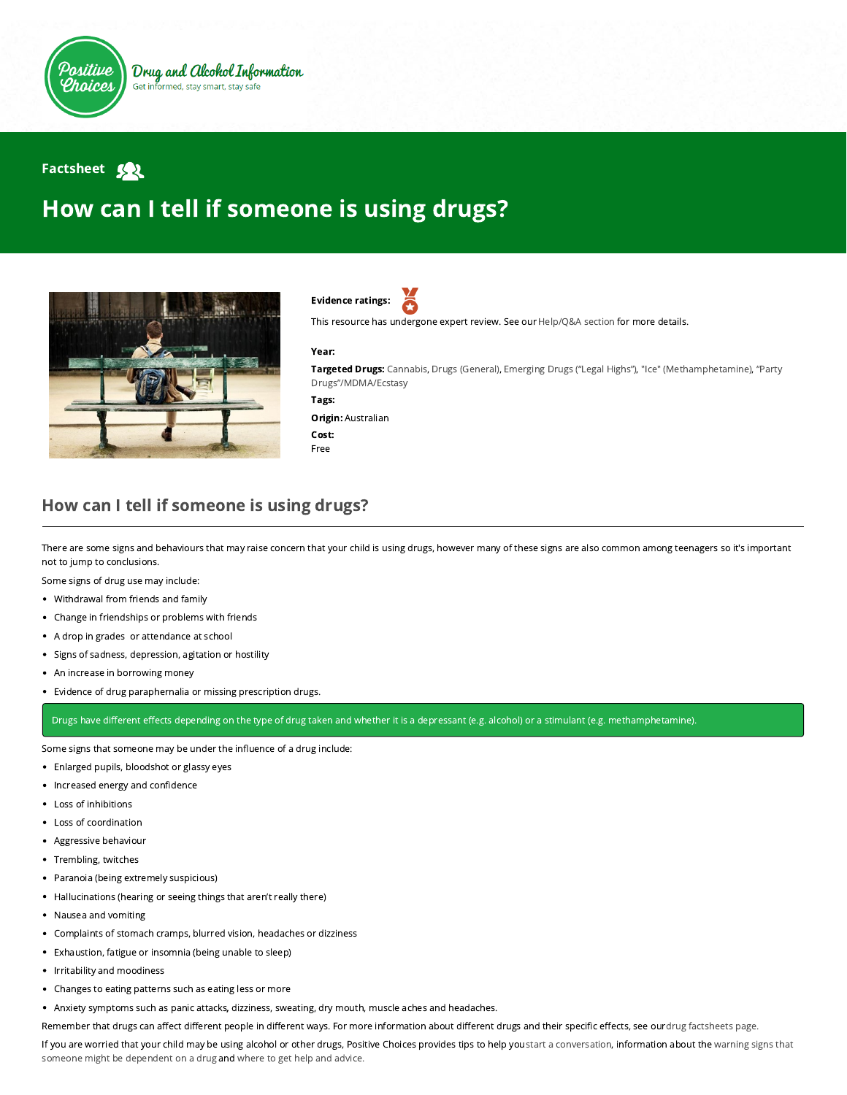

## **Factsheet Sol**

## How can I tell if someone is using drugs?



Evidence ratings:

This resource has undergone expert review. See our [Help/Q&A section](https://positivechoices.org.au/help/questions-and-answers/) for more details.

## Year:

Targeted Drugs: Cannabis, Drugs (General), Emerging Drugs ("Legal Highs"), "Ice" (Methamphetamine), "Party Drugs"/MDMA/Ecstasy

Tags:

Origin: Australian

Cost: Free

## How can I tell if someone is using drugs?

There are some signs and behaviours that may raise concern that your child is using drugs, however many of these signs are also common among teenagers so it's important not to jump to conclusions.

Some signs of drug use may include:

- Withdrawal from friends and family
- Change in friendships or problems with friends
- A drop in grades or attendance at school
- Signs of sadness, depression, agitation or hostility
- An increase in borrowing money
- Evidence of drug paraphernalia or missing prescription drugs.

Drugs have different effects depending on the type of drug taken and whether it is a depressant (e.g. alcohol) or a stimulant (e.g. methamphetamine).

Some signs that someone may be under the influence of a drug include:

- Enlarged pupils, bloodshot or glassy eyes
- Increased energy and confidence
- Loss of inhibitions
- Loss of coordination
- Aggressive behaviour
- Trembling, twitches
- $\bullet$ Paranoia (being extremely suspicious)
- Hallucinations (hearing or seeing things that aren't really there)
- Nausea and vomiting  $\bullet$
- Complaints of stomach cramps, blurred vision, headaches or dizziness  $\bullet$
- Exhaustion, fatigue or insomnia (being unable to sleep)
- Irritability and moodiness
- Changes to eating patterns such as eating less or more
- Anxiety symptoms such as panic attacks, dizziness, sweating, dry mouth, muscle aches and headaches.

Remember that drugs can affect different people in different ways. For more information about different drugs and their specific effects, see ourdrug factsheets page.

[If you are worried that your child may be using alcohol or other drugs, Positive Choices provides tips to help you s](https://positivechoices.org.au/parents/what-are-the-warning-signs)[tart a conversatio](https://positivechoices.org.au/parents/starting-the-conversation-about-drug-use)[n, information about the warning signs that](https://positivechoices.org.au/parents/what-are-the-warning-signs) someone might be dependent on a drug and [where to get help and advice.](https://positivechoices.org.au/information/where-to-get-help/)